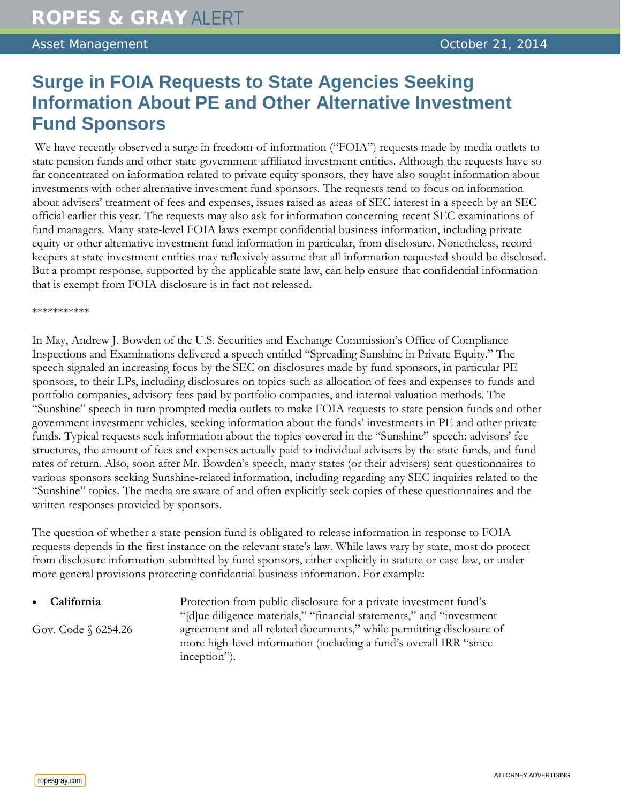## **Surge in FOIA Requests to State Agencies Seeking Information About PE and Other Alternative Investment Fund Sponsors**

We have recently observed a surge in freedom-of-information ("FOIA") requests made by media outlets to state pension funds and other state-government-affiliated investment entities. Although the requests have so far concentrated on information related to private equity sponsors, they have also sought information about investments with other alternative investment fund sponsors. The requests tend to focus on information about advisers' treatment of fees and expenses, issues raised as areas of SEC interest in a speech by an SEC official earlier this year. The requests may also ask for information concerning recent SEC examinations of fund managers. Many state-level FOIA laws exempt confidential business information, including private equity or other alternative investment fund information in particular, from disclosure. Nonetheless, recordkeepers at state investment entities may reflexively assume that all information requested should be disclosed. But a prompt response, supported by the applicable state law, can help ensure that confidential information that is exempt from FOIA disclosure is in fact not released.

\*\*\*\*\*\*\*\*\*\*\*

In May, Andrew J. Bowden of the U.S. Securities and Exchange Commission's Office of Compliance Inspections and Examinations delivered a speech entitled "Spreading Sunshine in Private Equity." The speech signaled an increasing focus by the SEC on disclosures made by fund sponsors, in particular PE sponsors, to their LPs, including disclosures on topics such as allocation of fees and expenses to funds and portfolio companies, advisory fees paid by portfolio companies, and internal valuation methods. The "Sunshine" speech in turn prompted media outlets to make FOIA requests to state pension funds and other government investment vehicles, seeking information about the funds' investments in PE and other private funds. Typical requests seek information about the topics covered in the "Sunshine" speech: advisors' fee structures, the amount of fees and expenses actually paid to individual advisers by the state funds, and fund rates of return. Also, soon after Mr. Bowden's speech, many states (or their advisers) sent questionnaires to various sponsors seeking Sunshine-related information, including regarding any SEC inquiries related to the "Sunshine" topics. The media are aware of and often explicitly seek copies of these questionnaires and the written responses provided by sponsors.

The question of whether a state pension fund is obligated to release information in response to FOIA requests depends in the first instance on the relevant state's law. While laws vary by state, most do protect from disclosure information submitted by fund sponsors, either explicitly in statute or case law, or under more general provisions protecting confidential business information. For example:

| • California           | Protection from public disclosure for a private investment fund's                                                                                          |
|------------------------|------------------------------------------------------------------------------------------------------------------------------------------------------------|
|                        | "Idlue diligence materials," "financial statements," and "investment"                                                                                      |
| Gov. Code $\S$ 6254.26 | agreement and all related documents," while permitting disclosure of<br>more high-level information (including a fund's overall IRR "since<br>inception"). |